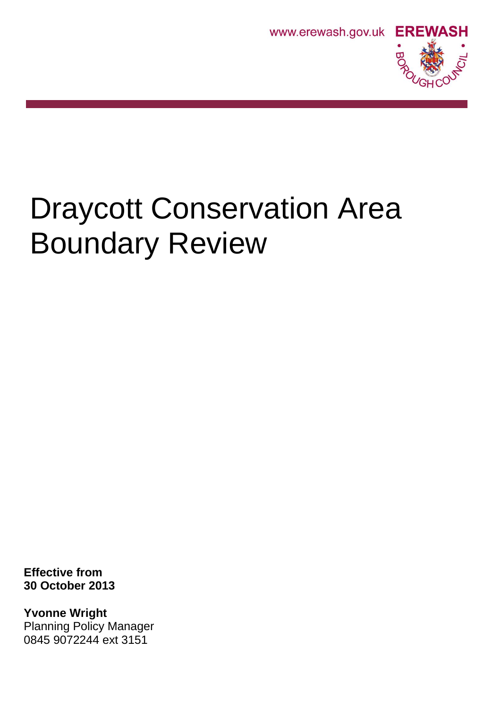



# Draycott Conservation Area Boundary Review

**Effective from 30 October 2013**

**Yvonne Wright** Planning Policy Manager 0845 9072244 ext 3151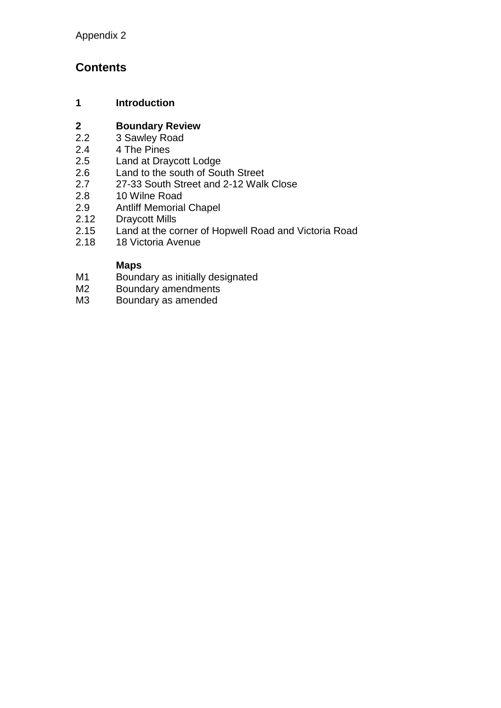### **Contents**

#### **1 Introduction**

## **2 Boundary Review**

- 3 Sawley Road
- 2.4 4 The Pines<br>2.5 Land at Dray
- 2.5 Land at Draycott Lodge<br>2.6 Land to the south of Sou
- 2.6 Land to the south of South Street<br>2.7 27-33 South Street and 2-12 Walk
- 2.7 27-33 South Street and 2-12 Walk Close<br>2.8 10 Wilne Road
- 2.8 10 Wilne Road<br>2.9 Antliff Memorial
- 2.9 Antliff Memorial Chapel<br>2.12 Draycott Mills
- Draycott Mills
- 2.15 Land at the corner of Hopwell Road and Victoria Road
- 2.18 18 Victoria Avenue

#### **Maps**

- M1 Boundary as initially designated
- M2 Boundary amendments<br>M3 Boundary as amended
- Boundary as amended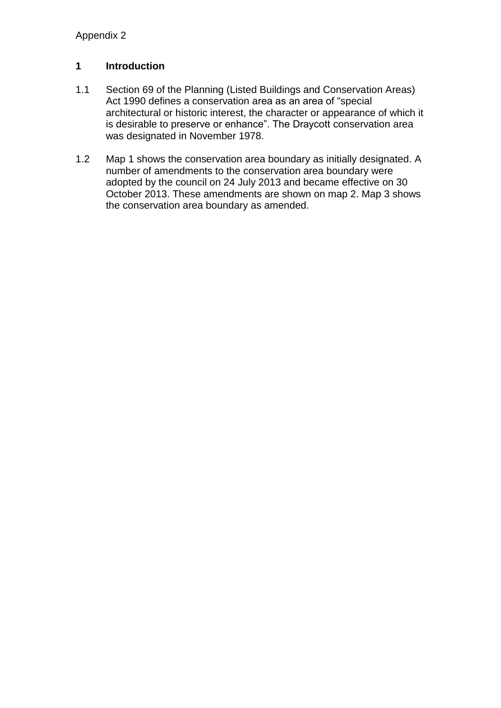#### **1 Introduction**

- 1.1 Section 69 of the Planning (Listed Buildings and Conservation Areas) Act 1990 defines a conservation area as an area of "special architectural or historic interest, the character or appearance of which it is desirable to preserve or enhance". The Draycott conservation area was designated in November 1978.
- 1.2 Map 1 shows the conservation area boundary as initially designated. A number of amendments to the conservation area boundary were adopted by the council on 24 July 2013 and became effective on 30 October 2013. These amendments are shown on map 2. Map 3 shows the conservation area boundary as amended.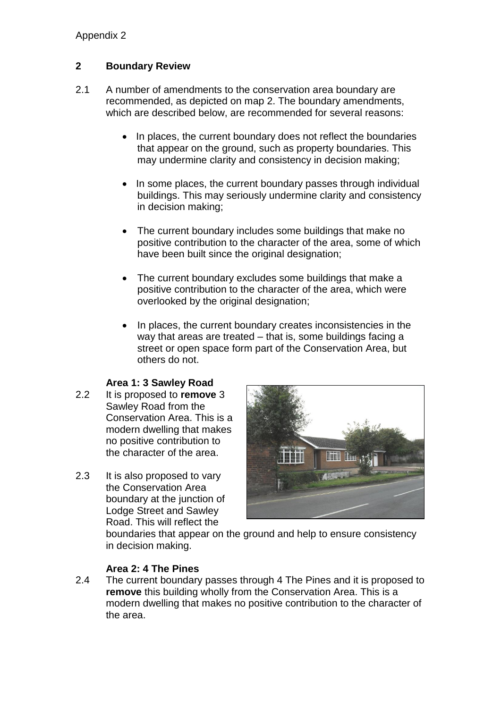#### **2 Boundary Review**

- 2.1 A number of amendments to the conservation area boundary are recommended, as depicted on map 2. The boundary amendments, which are described below, are recommended for several reasons:
	- In places, the current boundary does not reflect the boundaries that appear on the ground, such as property boundaries. This may undermine clarity and consistency in decision making;
	- In some places, the current boundary passes through individual buildings. This may seriously undermine clarity and consistency in decision making;
	- The current boundary includes some buildings that make no positive contribution to the character of the area, some of which have been built since the original designation;
	- The current boundary excludes some buildings that make a positive contribution to the character of the area, which were overlooked by the original designation;
	- In places, the current boundary creates inconsistencies in the way that areas are treated – that is, some buildings facing a street or open space form part of the Conservation Area, but others do not.

#### **Area 1: 3 Sawley Road**

- 2.2 It is proposed to **remove** 3 Sawley Road from the Conservation Area. This is a modern dwelling that makes no positive contribution to the character of the area.
- 2.3 It is also proposed to vary the Conservation Area boundary at the junction of Lodge Street and Sawley Road. This will reflect the



boundaries that appear on the ground and help to ensure consistency in decision making.

#### **Area 2: 4 The Pines**

2.4 The current boundary passes through 4 The Pines and it is proposed to **remove** this building wholly from the Conservation Area. This is a modern dwelling that makes no positive contribution to the character of the area.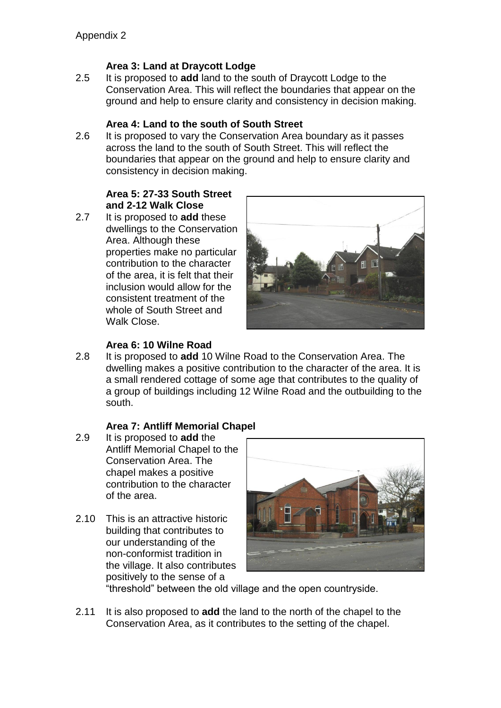#### **Area 3: Land at Draycott Lodge**

2.5 It is proposed to **add** land to the south of Draycott Lodge to the Conservation Area. This will reflect the boundaries that appear on the ground and help to ensure clarity and consistency in decision making.

#### **Area 4: Land to the south of South Street**

2.6 It is proposed to vary the Conservation Area boundary as it passes across the land to the south of South Street. This will reflect the boundaries that appear on the ground and help to ensure clarity and consistency in decision making.

#### **Area 5: 27-33 South Street and 2-12 Walk Close**

2.7 It is proposed to **add** these dwellings to the Conservation Area. Although these properties make no particular contribution to the character of the area, it is felt that their inclusion would allow for the consistent treatment of the whole of South Street and Walk Close.



#### **Area 6: 10 Wilne Road**

2.8 It is proposed to **add** 10 Wilne Road to the Conservation Area. The dwelling makes a positive contribution to the character of the area. It is a small rendered cottage of some age that contributes to the quality of a group of buildings including 12 Wilne Road and the outbuilding to the south.

#### **Area 7: Antliff Memorial Chapel**

- 2.9 It is proposed to **add** the Antliff Memorial Chapel to the Conservation Area. The chapel makes a positive contribution to the character of the area.
- 2.10 This is an attractive historic building that contributes to our understanding of the non-conformist tradition in the village. It also contributes positively to the sense of a



"threshold" between the old village and the open countryside.

2.11 It is also proposed to **add** the land to the north of the chapel to the Conservation Area, as it contributes to the setting of the chapel.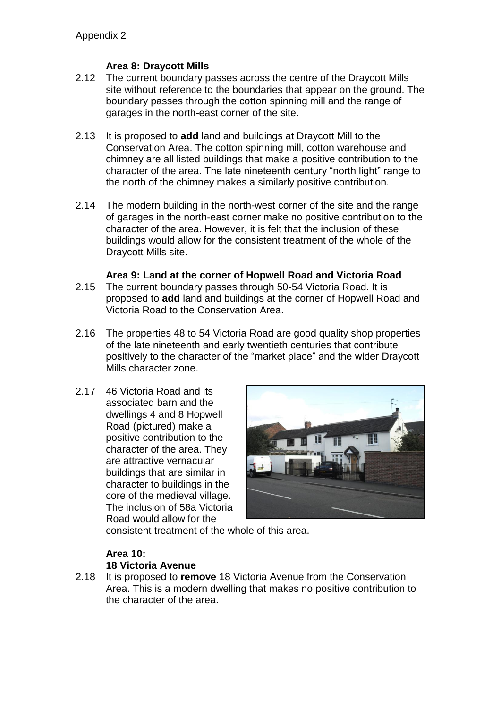#### **Area 8: Draycott Mills**

- 2.12 The current boundary passes across the centre of the Draycott Mills site without reference to the boundaries that appear on the ground. The boundary passes through the cotton spinning mill and the range of garages in the north-east corner of the site.
- 2.13 It is proposed to **add** land and buildings at Draycott Mill to the Conservation Area. The cotton spinning mill, cotton warehouse and chimney are all listed buildings that make a positive contribution to the character of the area. The late nineteenth century "north light" range to the north of the chimney makes a similarly positive contribution.
- 2.14 The modern building in the north-west corner of the site and the range of garages in the north-east corner make no positive contribution to the character of the area. However, it is felt that the inclusion of these buildings would allow for the consistent treatment of the whole of the Draycott Mills site.

#### **Area 9: Land at the corner of Hopwell Road and Victoria Road**

- 2.15 The current boundary passes through 50-54 Victoria Road. It is proposed to **add** land and buildings at the corner of Hopwell Road and Victoria Road to the Conservation Area.
- 2.16 The properties 48 to 54 Victoria Road are good quality shop properties of the late nineteenth and early twentieth centuries that contribute positively to the character of the "market place" and the wider Draycott Mills character zone.
- 2.17 46 Victoria Road and its associated barn and the dwellings 4 and 8 Hopwell Road (pictured) make a positive contribution to the character of the area. They are attractive vernacular buildings that are similar in character to buildings in the core of the medieval village. The inclusion of 58a Victoria Road would allow for the



consistent treatment of the whole of this area.

#### **Area 10: 18 Victoria Avenue**

2.18 It is proposed to **remove** 18 Victoria Avenue from the Conservation Area. This is a modern dwelling that makes no positive contribution to the character of the area.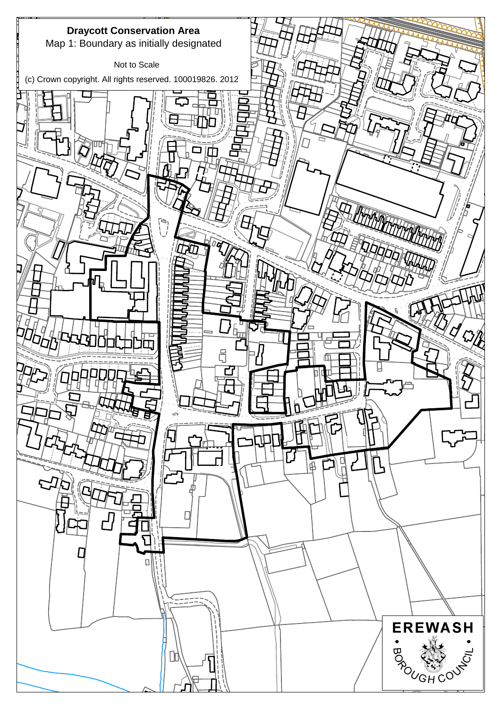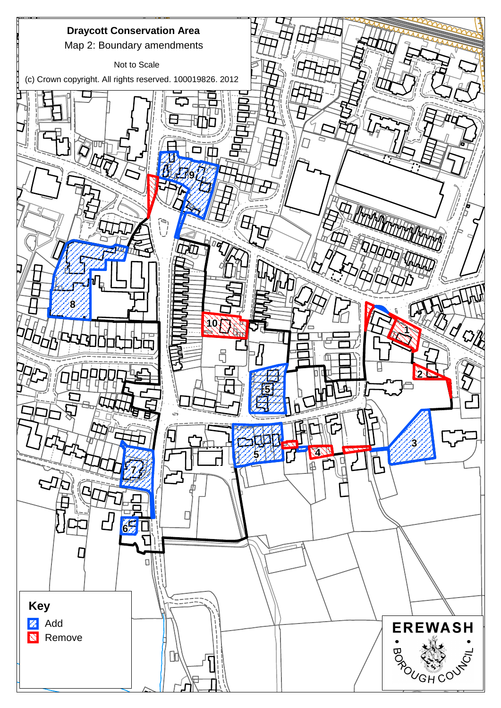